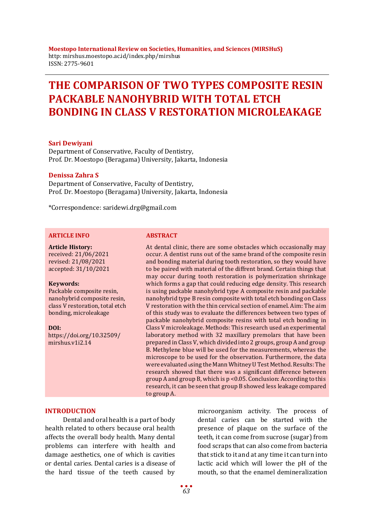**Moestopo International Review on Societies, Humanities, and Sciences (MIRSHuS)** http: mirshus.moestopo.ac.id/index.php/mirshus ISSN: 2775-9601

# **THE COMPARISON OF TWO TYPES COMPOSITE RESIN PACKABLE NANOHYBRID WITH TOTAL ETCH BONDING IN CLASS V RESTORATION MICROLEAKAGE**

#### **Sari Dewiyani**

Department of Conservative, Faculty of Dentistry, Prof. Dr. Moestopo (Beragama) University, Jakarta, Indonesia

#### **Denissa Zahra S**

Department of Conservative, Faculty of Dentistry, Prof. Dr. Moestopo (Beragama) University, Jakarta, Indonesia

\*Correspondence: saridewi.drg@gmail.com

#### **ARTICLE INFO ABSTRACT**

**Article History:** received: 21/06/2021 revised: 21/08/2021 accepted: 31/10/2021

#### **Keywords:**

Packable composite resin, nanohybrid composite resin, class V restoration, total etch bonding, microleakage

**DOI:**

https://doi.org/10.32509/ mirshus.v1i2.14

At dental clinic, there are some obstacles which occasionally may occur. A dentist runs out of the same brand of the composite resin and bonding material during tooth restoration, so they would have to be paired with material of the diffrent brand. Certain things that may occur during tooth restoration is polymerization shrinkage which forms a gap that could reducing edge density. This research is using packable nanohybrid type A composite resin and packable nanohybrid type B resin composite with total etch bonding on Class V restoration with the thin cervical section of enamel. Aim: The aim of this study was to evaluate the differences between two types of packable nanohybrid composite resins with total etch bonding in Class V microleakage. Methods: This research used an experimental laboratory method with 32 maxillary premolars that have been prepared in Class V, which divided into 2 groups, group A and group B. Methylene blue will be used for the measurements, whereas the microscope to be used for the observation. Furthermore, the data were evaluated using the Mann Whitney U Test Method. Results: The research showed that there was a significant difference between group A and group B, which is p <0.05. Conclusion: According to this research, it can be seen that group B showed less leakage compared to group A.

#### **INTRODUCTION**

Dental and oral health is a part of body health related to others because oral health affects the overall body health. Many dental problems can interfere with health and damage aesthetics, one of which is cavities or dental caries. Dental caries is a disease of the hard tissue of the teeth caused by

microorganism activity. The process of dental caries can be started with the presence of plaque on the surface of the teeth, it can come from sucrose (sugar) from food scraps that can also come from bacteria that stick to it and at any time it can turn into lactic acid which will lower the pH of the mouth, so that the enamel demineralization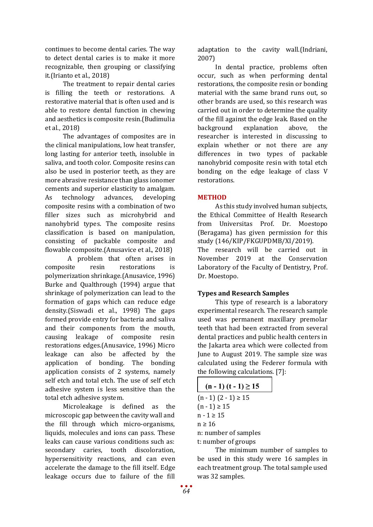continues to become dental caries. The way to detect dental caries is to make it more recognizable, then grouping or classifying it.(Irianto et al., 2018)

The treatment to repair dental caries is filling the teeth or restorations. A restorative material that is often used and is able to restore dental function in chewing and aesthetics is composite resin.(Budimulia et al., 2018)

The advantages of composites are in the clinical manipulations, low heat transfer, long lasting for anterior teeth, insoluble in saliva, and tooth color. Composite resins can also be used in posterior teeth, as they are more abrasive resistance than glass ionomer cements and superior elasticity to amalgam.<br>As technology advances, developing technology composite resins with a combination of two filler sizes such as microhybrid and nanohybrid types. The composite resins classification is based on manipulation, consisting of packable composite and flowable composite.(Anusavice et al., 2018)

A problem that often arises in<br>site resin restorations is composite resin restorations is polymerization shrinkage.(Anusavice, 1996) Burke and Qualthrough (1994) argue that shrinkage of polymerization can lead to the formation of gaps which can reduce edge density.(Siswadi et al., 1998) The gaps formed provide entry for bacteria and saliva and their components from the mouth, causing leakage of composite resin restorations edges.(Anusavice, 1996) Micro leakage can also be affected by the application of bonding. The bonding application consists of 2 systems, namely self etch and total etch. The use of self etch adhesive system is less sensitive than the total etch adhesive system.

Microleakage is defined as the microscopic gap between the cavity wall and the fill through which micro-organisms, liquids, molecules and ions can pass. These leaks can cause various conditions such as:<br>secondary caries. tooth discoloration. tooth discoloration. hypersensitivity reactions, and can even accelerate the damage to the fill itself. Edge leakage occurs due to failure of the fill

adaptation to the cavity wall.(Indriani, 2007)

In dental practice, problems often occur, such as when performing dental restorations, the composite resin or bonding material with the same brand runs out, so other brands are used, so this research was carried out in order to determine the quality of the fill against the edge leak. Based on the<br>background explanation above. the explanation above, the researcher is interested in discussing to explain whether or not there are any differences in two types of packable nanohybrid composite resin with total etch bonding on the edge leakage of class V restorations.

# **METHOD**

As this study involved human subjects, the Ethical Committee of Health Research from Universitas Prof. Dr. Moestopo (Beragama) has given permission for this study (146/KIP/FKGUPDMB/XI/2019). The research will be carried out in November 2019 at the Conservation Laboratory of the Faculty of Dentistry, Prof. Dr. Moestopo.

### **Types and Research Samples**

This type of research is a laboratory experimental research. The research sample used was permanent maxillary premolar teeth that had been extracted from several dental practices and public health centers in the Jakarta area which were collected from June to August 2019. The sample size was calculated using the Federer formula with the following calculations. [7]:

| $(n-1)$ $(t-1) \ge 15$ |
|------------------------|
| $(n-1)$ $(2-1) \ge 15$ |
| $(n - 1) \ge 15$       |
| $n - 1 \geq 15$        |
| $n \geq 16$            |
| n: number of samples   |
| t: number of groups    |

The minimum number of samples to be used in this study were 16 samples in each treatment group. The total sample used was 32 samples.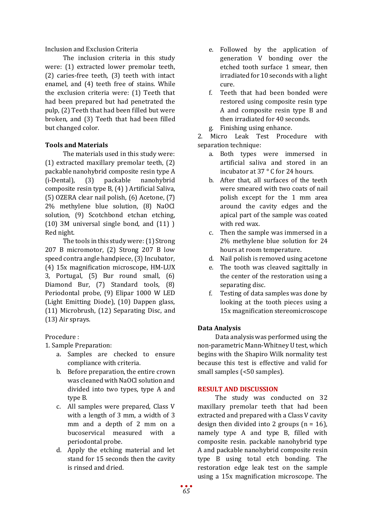Inclusion and Exclusion Criteria

The inclusion criteria in this study were: (1) extracted lower premolar teeth, (2) caries-free teeth, (3) teeth with intact enamel, and (4) teeth free of stains. While the exclusion criteria were: (1) Teeth that had been prepared but had penetrated the pulp, (2) Teeth that had been filled but were broken, and (3) Teeth that had been filled but changed color.

# **Tools and Materials**

The materials used in this study were: (1) extracted maxillary premolar teeth, (2) packable nanohybrid composite resin type A (i-Dental), (3) packable nanohybrid composite resin type B, (4) ) Artificial Saliva, (5) OZERA clear nail polish, (6) Acetone, (7) 2% methylene blue solution, (8) NaOCl solution, (9) Scotchbond etchan etching, (10) 3M universal single bond, and (11) ) Red night.

The tools in this study were: (1) Strong 207 B micromotor, (2) Strong 207 B low speed contra angle handpiece, (3) Incubator, (4) 15x magnification microscope, HM-LUX 3, Portugal, (5) Bur round small, (6) Diamond Bur, (7) Standard tools, (8) Periodontal probe, (9) Elipar 1000 W LED (Light Emitting Diode), (10) Dappen glass, (11) Microbrush, (12) Separating Disc, and (13) Air sprays.

Procedure :

1. Sample Preparation:

- a. Samples are checked to ensure compliance with criteria.
- b. Before preparation, the entire crown was cleaned with NaOCl solution and divided into two types, type A and type B.
- c. All samples were prepared, Class V with a length of 3 mm, a width of 3 mm and a depth of 2 mm on a bucoservical measured with a periodontal probe.
- d. Apply the etching material and let stand for 15 seconds then the cavity is rinsed and dried.
- e. Followed by the application of generation V bonding over the etched tooth surface 1 smear, then irradiated for 10 seconds with a light cure.
- f. Teeth that had been bonded were restored using composite resin type A and composite resin type B and then irradiated for 40 seconds.
- g. Finishing using enhance.

2. Micro Leak Test Procedure with separation technique:

- a. Both types were immersed in artificial saliva and stored in an incubator at 37 ° C for 24 hours.
- b. After that, all surfaces of the teeth were smeared with two coats of nail polish except for the 1 mm area around the cavity edges and the apical part of the sample was coated with red wax.
- c. Then the sample was immersed in a 2% methylene blue solution for 24 hours at room temperature.
- d. Nail polish is removed using acetone
- e. The tooth was cleaved sagittally in the center of the restoration using a separating disc.
- f. Testing of data samples was done by looking at the tooth pieces using a 15x magnification stereomicroscope

# **Data Analysis**

Data analysis was performed using the non-parametric Mann-Whitney U test, which begins with the Shapiro Wilk normality test because this test is effective and valid for small samples (<50 samples).

# **RESULT AND DISCUSSION**

The study was conducted on 32 maxillary premolar teeth that had been extracted and prepared with a Class V cavity design then divided into 2 groups  $(n = 16)$ , namely type A and type B, filled with composite resin. packable nanohybrid type A and packable nanohybrid composite resin type B using total etch bonding. The restoration edge leak test on the sample using a 15x magnification microscope. The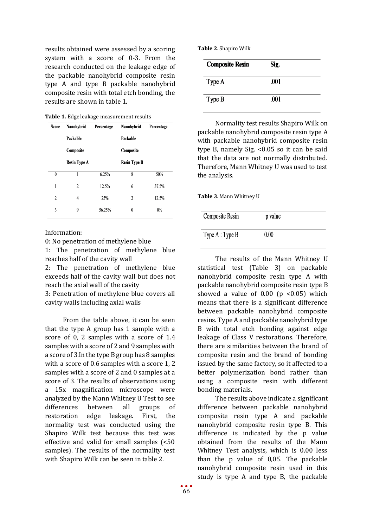results obtained were assessed by a scoring system with a score of 0-3. From the research conducted on the leakage edge of the packable nanohybrid composite resin type A and type B packable nanohybrid composite resin with total etch bonding, the results are shown in table 1.

**Table 1.** Edge leakage measurement results

| <b>Score</b>   | Nanohybrid          | Percentage | Nanohybrid          | Percentage |
|----------------|---------------------|------------|---------------------|------------|
|                | Packable            |            | Packable            |            |
|                | Composite           |            | Composite           |            |
|                | <b>Resin Type A</b> |            | <b>Resin Type B</b> |            |
| $\theta$       | 1                   | 6.25%      | 8                   | 50%        |
| 1              | 2                   | 12.5%      | 6                   | 37.5%      |
| $\overline{2}$ | 4                   | 25%        | $\overline{2}$      | 12.5%      |
| 3              | 9                   | 56.25%     | 0                   | 0%         |
|                |                     |            |                     |            |

Information:

0: No penetration of methylene blue

1: The penetration of methylene blue reaches half of the cavity wall

2: The penetration of methylene blue exceeds half of the cavity wall but does not reach the axial wall of the cavity

3: Penetration of methylene blue covers all cavity walls including axial walls

From the table above, it can be seen that the type A group has 1 sample with a score of 0, 2 samples with a score of 1.4 samples with a score of 2 and 9 samples with a score of 3.In the type B group has 8 samples with a score of 0.6 samples with a score 1, 2 samples with a score of 2 and 0 samples at a score of 3. The results of observations using a 15x magnification microscope were analyzed by the Mann Whitney U Test to see<br>differences between all groups of differences restoration edge leakage. First, the normality test was conducted using the Shapiro Wilk test because this test was effective and valid for small samples (<50 samples). The results of the normality test with Shapiro Wilk can be seen in table 2.

**Table 2**. Shapiro Wilk

| <b>Composite Resin</b> | Sig. |  |
|------------------------|------|--|
| Type A                 | .001 |  |
| Type B                 | .001 |  |

Normality test results Shapiro Wilk on packable nanohybrid composite resin type A with packable nanohybrid composite resin type B, namely Sig. <0.05 so it can be said that the data are not normally distributed. Therefore, Mann Whitney U was used to test the analysis.

**Table 3**. Mann Whitney U

| Composite Resin  | p value |
|------------------|---------|
| Type $A: Type B$ | 0.00    |

The results of the Mann Whitney U statistical test (Table 3) on packable nanohybrid composite resin type A with packable nanohybrid composite resin type B showed a value of  $0.00$  (p <0.05) which means that there is a significant difference between packable nanohybrid composite resins. Type A and packable nanohybrid type B with total etch bonding against edge leakage of Class V restorations. Therefore, there are similarities between the brand of composite resin and the brand of bonding issued by the same factory, so it affected to a better polymerization bond rather than using a composite resin with different bonding materials.

The results above indicate a significant difference between packable nanohybrid composite resin type A and packable nanohybrid composite resin type B. This difference is indicated by the p value obtained from the results of the Mann Whitney Test analysis, which is 0.00 less than the p value of 0,05. The packable nanohybrid composite resin used in this study is type A and type B, the packable